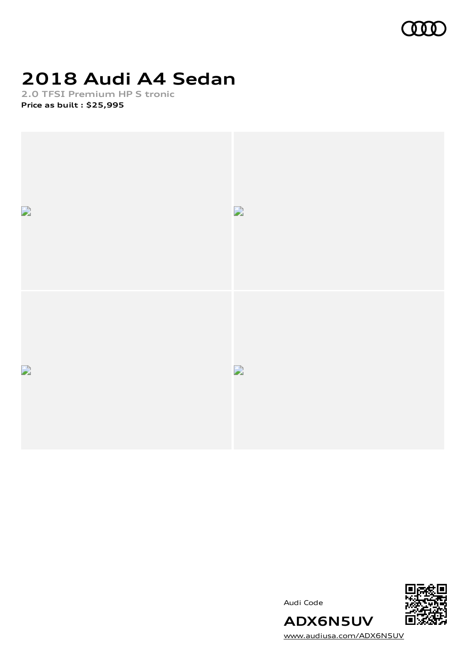

# **2018 Audi A4 Sedan**

**2.0 TFSI Premium HP S tronic Price as built [:](#page-10-0) \$25,995**



Audi Code



[www.audiusa.com/ADX6N5UV](https://www.audiusa.com/ADX6N5UV)

**ADX6N5UV**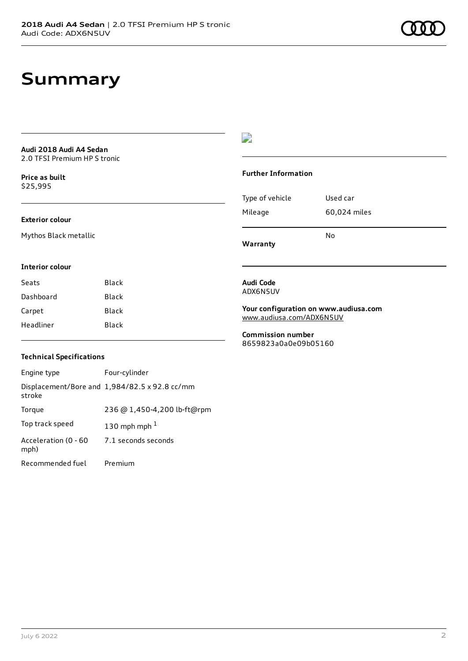## **Summary**

**Audi 2018 Audi A4 Sedan** 2.0 TFSI Premium HP S tronic

**Price as buil[t](#page-10-0)** \$25,995

### **Exterior colour**

Mythos Black metallic

### $\overline{\phantom{a}}$

#### **Further Information**

|                 | No           |
|-----------------|--------------|
| Mileage         | 60,024 miles |
| Type of vehicle | Used car     |

**Warranty**

#### **Interior colour**

| Seats     | Black |
|-----------|-------|
| Dashboard | Black |
| Carpet    | Black |
| Headliner | Black |

#### **Audi Code** ADX6N5UV

**Your configuration on www.audiusa.com** [www.audiusa.com/ADX6N5UV](https://www.audiusa.com/ADX6N5UV)

**Commission number** 8659823a0a0e09b05160

### **Technical Specifications**

| Engine type                  | Four-cylinder                                 |
|------------------------------|-----------------------------------------------|
| stroke                       | Displacement/Bore and 1,984/82.5 x 92.8 cc/mm |
| Torque                       | 236 @ 1,450-4,200 lb-ft@rpm                   |
| Top track speed              | 130 mph mph $1$                               |
| Acceleration (0 - 60<br>mph) | 7.1 seconds seconds                           |
| Recommended fuel             | Premium                                       |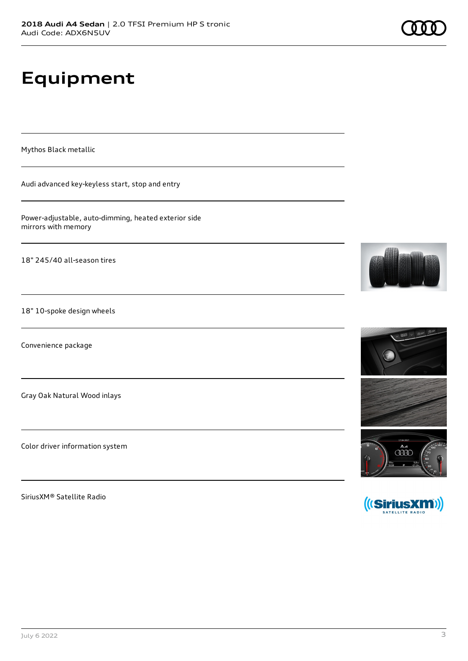# **Equipment**

Mythos Black metallic

Audi advanced key-keyless start, stop and entry

Power-adjustable, auto-dimming, heated exterior side mirrors with memory

18" 245/40 all-season tires

18" 10-spoke design wheels

Convenience package

Gray Oak Natural Wood inlays

Color driver information system

SiriusXM® Satellite Radio







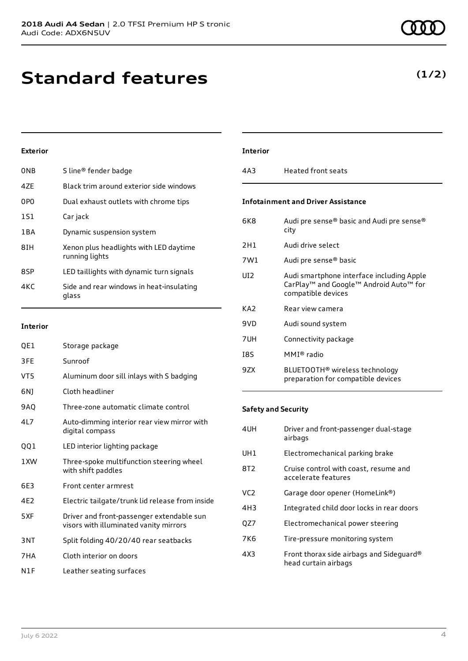### **Exterior**

| 0 <sub>NB</sub> | S line® fender badge                                     |
|-----------------|----------------------------------------------------------|
| 47F             | Black trim around exterior side windows                  |
| 0P <sub>0</sub> | Dual exhaust outlets with chrome tips                    |
| 1S1             | Car jack                                                 |
| 1BA             | Dynamic suspension system                                |
| 8IH             | Xenon plus headlights with LED daytime<br>running lights |
| 8SP             | LED taillights with dynamic turn signals                 |
| 4KC             | Side and rear windows in heat-insulating<br>glass        |
|                 |                                                          |

#### **Interior**

| QE1 | Storage package                                                                     |
|-----|-------------------------------------------------------------------------------------|
| 3FE | Sunroof                                                                             |
| VT5 | Aluminum door sill inlays with S badging                                            |
| 6N) | Cloth headliner                                                                     |
| 9AQ | Three-zone automatic climate control                                                |
| 4L7 | Auto-dimming interior rear view mirror with<br>digital compass                      |
| QQ1 | LED interior lighting package                                                       |
| 1XW | Three-spoke multifunction steering wheel<br>with shift paddles                      |
| 6E3 | Front center armrest                                                                |
| 4E2 | Electric tailgate/trunk lid release from inside                                     |
| 5XF | Driver and front-passenger extendable sun<br>visors with illuminated vanity mirrors |
| 3NT | Split folding 40/20/40 rear seatbacks                                               |
| 7HA | Cloth interior on doors                                                             |
| N1F | Leather seating surfaces                                                            |

### **Interior**

### 4A3 Heated front seats

### **Infotainment and Driver Assistance**

- 6K8 Audi pre sense® basic and Audi pre sense® city 2H1 Audi drive select 7W1 Audi pre sense® basic UI2 Audi smartphone interface including Apple
- CarPlay™ and Google™ Android Auto™ for compatible devices

KA2 Rear view camera

- 9VD Audi sound system
- 7UH Connectivity package
- I8S MMI® radio
- 9ZX BLUETOOTH® wireless technology preparation for compatible devices

#### **Safety and Security**

| 4UH             | Driver and front-passenger dual-stage<br>airbags                 |
|-----------------|------------------------------------------------------------------|
| UH1             | Electromechanical parking brake                                  |
| 8T2             | Cruise control with coast, resume and<br>accelerate features     |
| VC <sub>2</sub> | Garage door opener (HomeLink®)                                   |
| 4H3             | Integrated child door locks in rear doors                        |
| OZ7             | Electromechanical power steering                                 |
| 7K6             | Tire-pressure monitoring system                                  |
| 4X3             | Front thorax side airbags and Sideguard®<br>head curtain airbags |
|                 |                                                                  |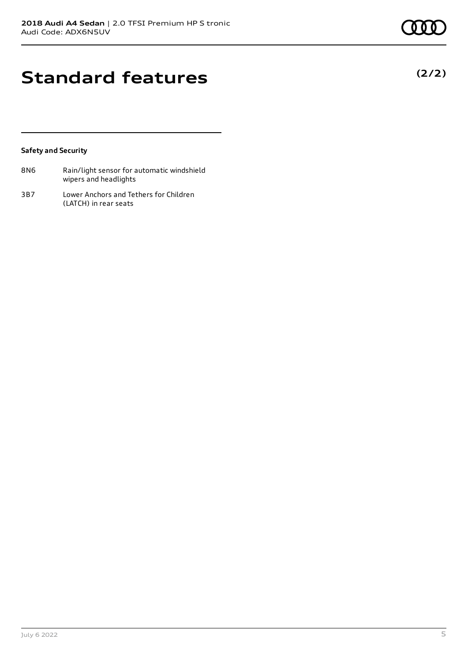**(2/2)**

### **Standard features**

### **Safety and Security**

| 8N6 | Rain/light sensor for automatic windshield |
|-----|--------------------------------------------|
|     | wipers and headlights                      |

3B7 Lower Anchors and Tethers for Children (LATCH) in rear seats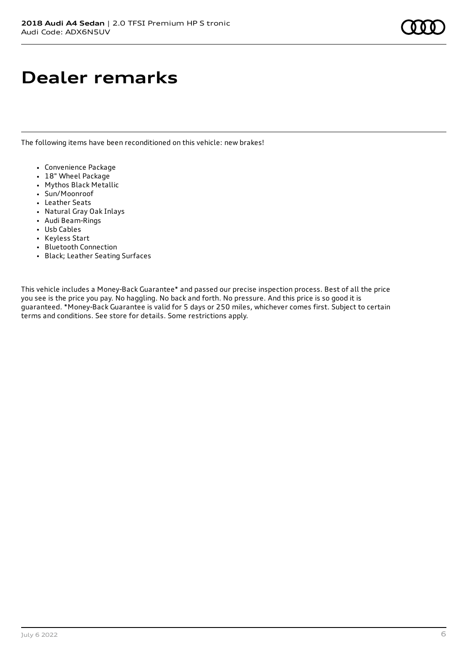# **Dealer remarks**

The following items have been reconditioned on this vehicle: new brakes!

- Convenience Package
- 18" Wheel Package
- Mythos Black Metallic
- Sun/Moonroof
- Leather Seats
- Natural Gray Oak Inlays
- Audi Beam-Rings
- Usb Cables
- Keyless Start
- Bluetooth Connection
- Black; Leather Seating Surfaces

This vehicle includes a Money-Back Guarantee\* and passed our precise inspection process. Best of all the price you see is the price you pay. No haggling. No back and forth. No pressure. And this price is so good it is guaranteed. \*Money-Back Guarantee is valid for 5 days or 250 miles, whichever comes first. Subject to certain terms and conditions. See store for details. Some restrictions apply.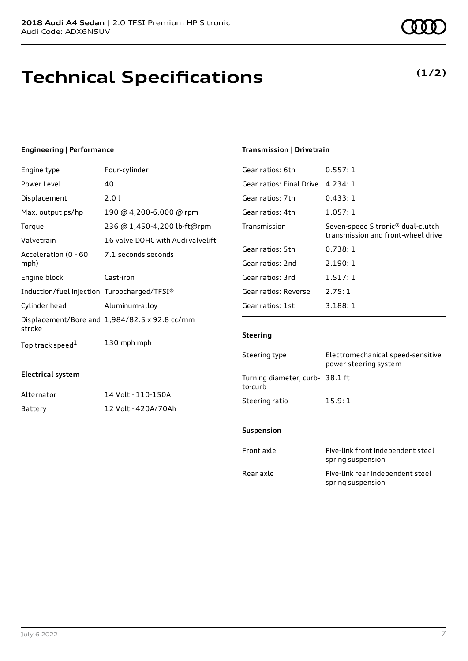# **Technical Specifications**

### **Engineering | Performance**

| Engine type                                 | Four-cylinder                                 |
|---------------------------------------------|-----------------------------------------------|
| Power Level                                 | 40                                            |
| Displacement                                | 2.01                                          |
| Max. output ps/hp                           | 190 @ 4,200-6,000 @ rpm                       |
| Torque                                      | 236 @ 1,450-4,200 lb-ft@rpm                   |
| Valvetrain                                  | 16 valve DOHC with Audi valvelift             |
| Acceleration (0 - 60<br>mph)                | 7.1 seconds seconds                           |
| Engine block                                | Cast-iron                                     |
| Induction/fuel injection Turbocharged/TFSI® |                                               |
| Cylinder head                               | Aluminum-alloy                                |
| stroke                                      | Displacement/Bore and 1,984/82.5 x 92.8 cc/mm |
| Top track speed <sup>1</sup>                | 130 mph mph                                   |

### **Transmission | Drivetrain**

| Gear ratios: 6th         | 0.557:1                                                                             |
|--------------------------|-------------------------------------------------------------------------------------|
| Gear ratios: Final Drive | 4.234:1                                                                             |
| Gear ratios: 7th         | 0.433:1                                                                             |
| Gear ratios: 4th         | 1.057:1                                                                             |
| Transmission             | Seven-speed S tronic <sup>®</sup> dual-clutch<br>transmission and front-wheel drive |
| Gear ratios: 5th         | 0.738:1                                                                             |
| Gear ratios: 2nd         | 2.190:1                                                                             |
| Gear ratios: 3rd         | 1.517:1                                                                             |
| Gear ratios: Reverse     | 2.75:1                                                                              |
| Gear ratios: 1st         | 3.188:1                                                                             |
|                          |                                                                                     |

### **Steering**

| Steering type                              | Electromechanical speed-sensitive<br>power steering system |
|--------------------------------------------|------------------------------------------------------------|
| Turning diameter, curb- 38.1 ft<br>to-curb |                                                            |
| Steering ratio                             | 15.9:1                                                     |
|                                            |                                                            |

### **Suspension**

| Front axle | Five-link front independent steel<br>spring suspension |
|------------|--------------------------------------------------------|
| Rear axle  | Five-link rear independent steel<br>spring suspension  |

### **Electrical system**

| Alternator | 14 Volt - 110-150A  |
|------------|---------------------|
| Battery    | 12 Volt - 420A/70Ah |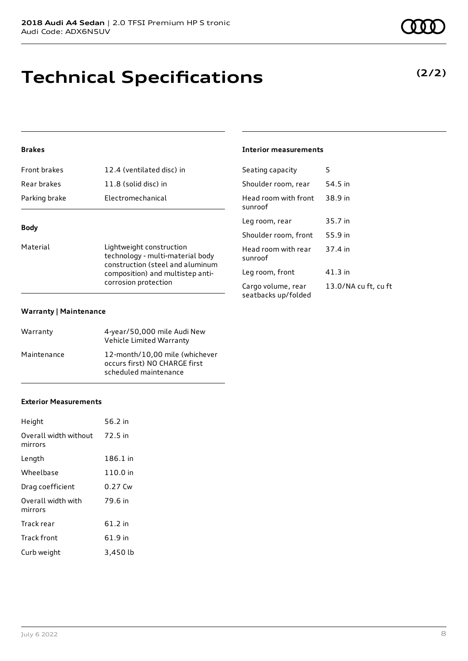# **Technical Specifications**

### **Brakes**

| <b>Front brakes</b> | 12.4 (ventilated disc) in |
|---------------------|---------------------------|
| Rear brakes         | 11.8 (solid disc) in      |
| Parking brake       | Electromechanical         |
|                     |                           |

### **Body**

Material **Material** Lightweight construction technology - multi-material body construction (steel and aluminum composition) and multistep anticorrosion protection

#### **Warranty | Maintenance**

| Warranty    | 4-year/50,000 mile Audi New<br>Vehicle Limited Warranty                                  |
|-------------|------------------------------------------------------------------------------------------|
| Maintenance | 12-month/10.00 mile (whichever<br>occurs first) NO CHARGE first<br>scheduled maintenance |

#### **Exterior Measurements**

| Height                           | 56.2 in  |
|----------------------------------|----------|
| Overall width without<br>mirrors | 72.5 in  |
| Length                           | 186.1 in |
| Wheelbase                        | 110.0 in |
| Drag coefficient                 | 0.27 Cw  |
| Overall width with<br>mirrors    | 79.6 in  |
| Track rear                       | 61.2 in  |
| Track front                      | 61.9 in  |
| Curb weight                      | 3,450 lb |

### **Interior measurements**

| Seating capacity                          | 5                    |
|-------------------------------------------|----------------------|
| Shoulder room, rear                       | 54.5 in              |
| Head room with front<br>sunroof           | 38.9 in              |
| Leg room, rear                            | 35.7 in              |
| Shoulder room, front                      | 55.9 in              |
| Head room with rear<br>sunroof            | 37.4 in              |
| Leg room, front                           | 41.3 in              |
| Cargo volume, rear<br>seatbacks up/folded | 13.0/NA cu ft, cu ft |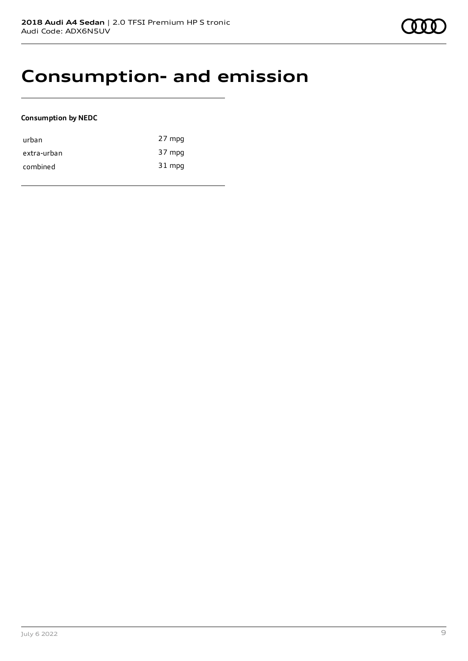### **Consumption- and emission**

### **Consumption by NEDC**

| urban       | 27 mpg |
|-------------|--------|
| extra-urban | 37 mpg |
| combined    | 31 mpg |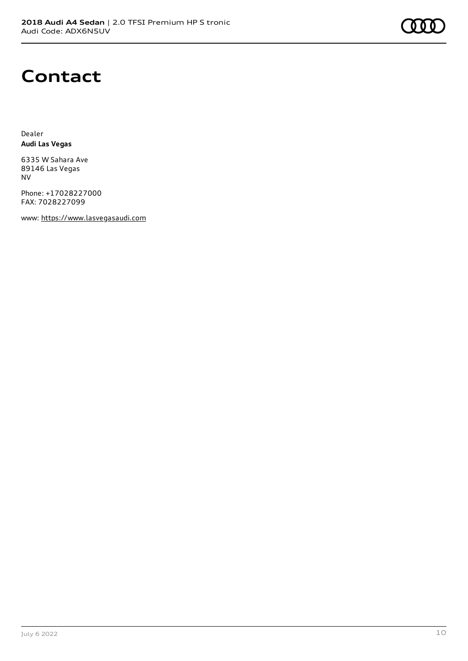### **Contact**

Dealer **Audi Las Vegas**

6335 W Sahara Ave 89146 Las Vegas NV

Phone: +17028227000 FAX: 7028227099

www: [https://www.lasvegasaudi.com](https://www.lasvegasaudi.com/)